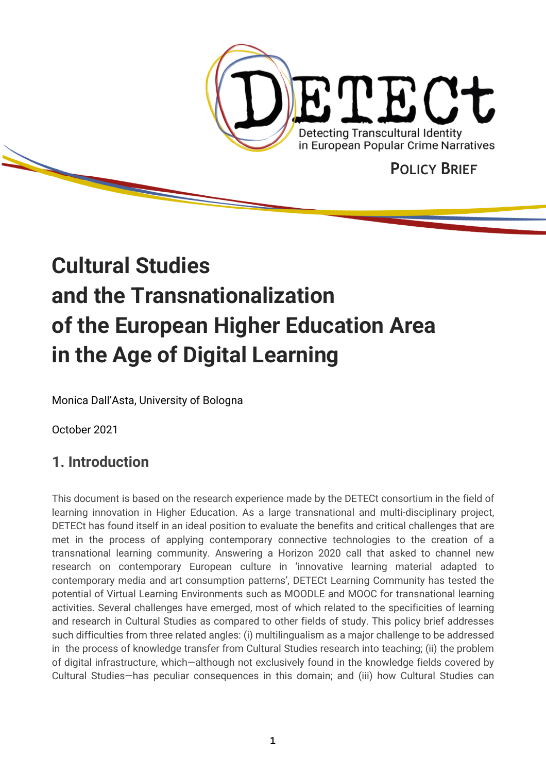

# **Cultural Studies and the Transnationalization of the European Higher Education Area in the Age of Digital Learning**

Monica Dall'Asta, University of Bologna

October 2021

## **1. Introduction**

This document is based on the research experience made by the DETECt consortium in the field of learning innovation in Higher Education. As a large transnational and multi-disciplinary project, DETECt has found itself in an ideal position to evaluate the benefits and critical challenges that are met in the process of applying contemporary connective technologies to the creation of a transnational learning community. Answering a Horizon 2020 call that asked to channel new research on contemporary European culture in 'innovative learning material adapted to contemporary media and art consumption patterns', DETECt Learning Community has tested the potential of Virtual Learning Environments such as MOODLE and MOOC for transnational learning activities. Several challenges have emerged, most of which related to the specificities of learning and research in Cultural Studies as compared to other fields of study. This policy brief addresses such difficulties from three related angles: (i) multilingualism as a major challenge to be addressed in the process of knowledge transfer from Cultural Studies research into teaching; (ii) the problem of digital infrastructure, which—although not exclusively found in the knowledge fields covered by Cultural Studies—has peculiar consequences in this domain; and (iii) how Cultural Studies can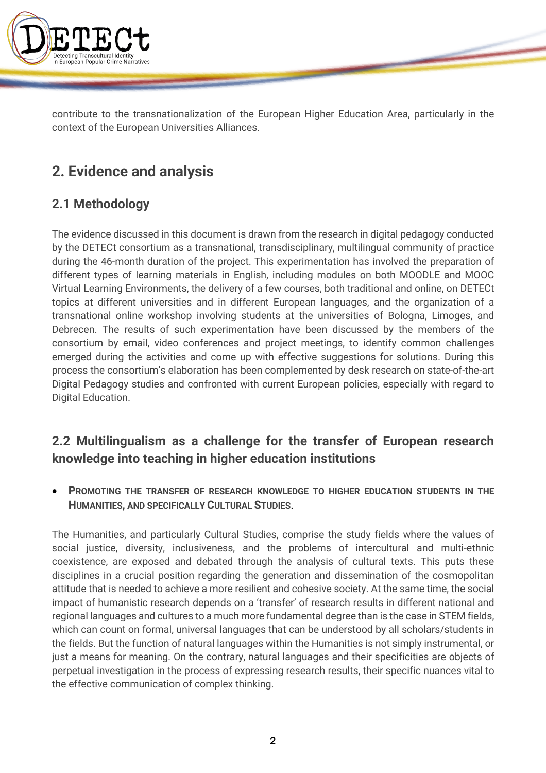

contribute to the transnationalization of the European Higher Education Area, particularly in the context of the European Universities Alliances.

# **2. Evidence and analysis**

### **2.1 Methodology**

The evidence discussed in this document is drawn from the research in digital pedagogy conducted by the DETECt consortium as a transnational, transdisciplinary, multilingual community of practice during the 46-month duration of the project. This experimentation has involved the preparation of different types of learning materials in English, including modules on both MOODLE and MOOC Virtual Learning Environments, the delivery of a few courses, both traditional and online, on DETECt topics at different universities and in different European languages, and the organization of a transnational online workshop involving students at the universities of Bologna, Limoges, and Debrecen. The results of such experimentation have been discussed by the members of the consortium by email, video conferences and project meetings, to identify common challenges emerged during the activities and come up with effective suggestions for solutions. During this process the consortium's elaboration has been complemented by desk research on state-of-the-art Digital Pedagogy studies and confronted with current European policies, especially with regard to Digital Education.

### **2.2 Multilingualism as a challenge for the transfer of European research knowledge into teaching in higher education institutions**

• **PROMOTING THE TRANSFER OF RESEARCH KNOWLEDGE TO HIGHER EDUCATION STUDENTS IN THE HUMANITIES, AND SPECIFICALLY CULTURAL STUDIES**.

The Humanities, and particularly Cultural Studies, comprise the study fields where the values of social justice, diversity, inclusiveness, and the problems of intercultural and multi-ethnic coexistence, are exposed and debated through the analysis of cultural texts. This puts these disciplines in a crucial position regarding the generation and dissemination of the cosmopolitan attitude that is needed to achieve a more resilient and cohesive society. At the same time, the social impact of humanistic research depends on a 'transfer' of research results in different national and regional languages and cultures to a much more fundamental degree than is the case in STEM fields, which can count on formal, universal languages that can be understood by all scholars/students in the fields. But the function of natural languages within the Humanities is not simply instrumental, or just a means for meaning. On the contrary, natural languages and their specificities are objects of perpetual investigation in the process of expressing research results, their specific nuances vital to the effective communication of complex thinking.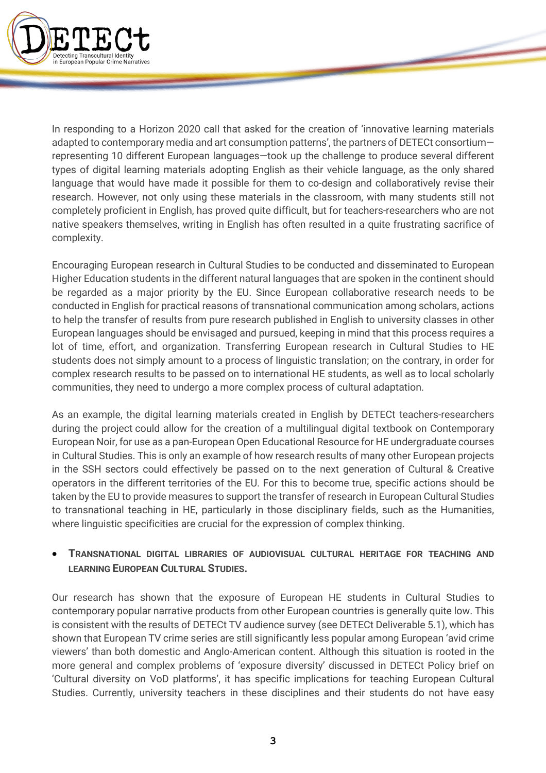

In responding to a Horizon 2020 call that asked for the creation of 'innovative learning materials adapted to contemporary media and art consumption patterns', the partners of DETECt consortium representing 10 different European languages—took up the challenge to produce several different types of digital learning materials adopting English as their vehicle language, as the only shared language that would have made it possible for them to co-design and collaboratively revise their research. However, not only using these materials in the classroom, with many students still not completely proficient in English, has proved quite difficult, but for teachers-researchers who are not native speakers themselves, writing in English has often resulted in a quite frustrating sacrifice of complexity.

Encouraging European research in Cultural Studies to be conducted and disseminated to European Higher Education students in the different natural languages that are spoken in the continent should be regarded as a major priority by the EU. Since European collaborative research needs to be conducted in English for practical reasons of transnational communication among scholars, actions to help the transfer of results from pure research published in English to university classes in other European languages should be envisaged and pursued, keeping in mind that this process requires a lot of time, effort, and organization. Transferring European research in Cultural Studies to HE students does not simply amount to a process of linguistic translation; on the contrary, in order for complex research results to be passed on to international HE students, as well as to local scholarly communities, they need to undergo a more complex process of cultural adaptation.

As an example, the digital learning materials created in English by DETECt teachers-researchers during the project could allow for the creation of a multilingual digital textbook on Contemporary European Noir, for use as a pan-European Open Educational Resource for HE undergraduate courses in Cultural Studies. This is only an example of how research results of many other European projects in the SSH sectors could effectively be passed on to the next generation of Cultural & Creative operators in the different territories of the EU. For this to become true, specific actions should be taken by the EU to provide measures to support the transfer of research in European Cultural Studies to transnational teaching in HE, particularly in those disciplinary fields, such as the Humanities, where linguistic specificities are crucial for the expression of complex thinking.

### • **TRANSNATIONAL DIGITAL LIBRARIES OF AUDIOVISUAL CULTURAL HERITAGE FOR TEACHING AND LEARNING EUROPEAN CULTURAL STUDIES.**

Our research has shown that the exposure of European HE students in Cultural Studies to contemporary popular narrative products from other European countries is generally quite low. This is consistent with the results of DETECt TV audience survey (see DETECt Deliverable 5.1), which has shown that European TV crime series are still significantly less popular among European 'avid crime viewers' than both domestic and Anglo-American content. Although this situation is rooted in the more general and complex problems of 'exposure diversity' discussed in DETECt Policy brief on 'Cultural diversity on VoD platforms', it has specific implications for teaching European Cultural Studies. Currently, university teachers in these disciplines and their students do not have easy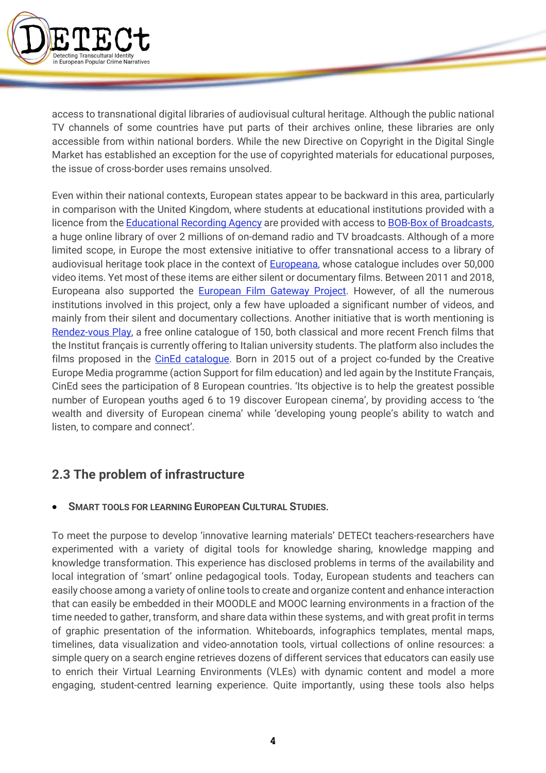

access to transnational digital libraries of audiovisual cultural heritage. Although the public national TV channels of some countries have put parts of their archives online, these libraries are only accessible from within national borders. While the new Directive on Copyright in the Digital Single Market has established an exception for the use of copyrighted materials for educational purposes, the issue of cross-border uses remains unsolved.

Even within their national contexts, European states appear to be backward in this area, particularly in comparison with the United Kingdom, where students at educational institutions provided with a licence from the Educational Recording Agency are provided with access to BOB-Box of Broadcasts, a huge online library of over 2 millions of on-demand radio and TV broadcasts. Although of a more limited scope, in Europe the most extensive initiative to offer transnational access to a library of audiovisual heritage took place in the context of **Europeana**, whose catalogue includes over 50,000 video items. Yet most of these items are either silent or documentary films. Between 2011 and 2018, Europeana also supported the **European Film Gateway Project**. However, of all the numerous institutions involved in this project, only a few have uploaded a significant number of videos, and mainly from their silent and documentary collections. Another initiative that is worth mentioning is Rendez-vous Play, a free online catalogue of 150, both classical and more recent French films that the Institut français is currently offering to Italian university students. The platform also includes the films proposed in the CinEd catalogue. Born in 2015 out of a project co-funded by the Creative Europe Media programme (action Support for film education) and led again by the Institute Français, CinEd sees the participation of 8 European countries. 'Its objective is to help the greatest possible number of European youths aged 6 to 19 discover European cinema', by providing access to 'the wealth and diversity of European cinema' while 'developing young people's ability to watch and listen, to compare and connect'.

### **2.3 The problem of infrastructure**

### • **SMART TOOLS FOR LEARNING EUROPEAN CULTURAL STUDIES**.

To meet the purpose to develop 'innovative learning materials' DETECt teachers-researchers have experimented with a variety of digital tools for knowledge sharing, knowledge mapping and knowledge transformation. This experience has disclosed problems in terms of the availability and local integration of 'smart' online pedagogical tools. Today, European students and teachers can easily choose among a variety of online tools to create and organize content and enhance interaction that can easily be embedded in their MOODLE and MOOC learning environments in a fraction of the time needed to gather, transform, and share data within these systems, and with great profit in terms of graphic presentation of the information. Whiteboards, infographics templates, mental maps, timelines, data visualization and video-annotation tools, virtual collections of online resources: a simple query on a search engine retrieves dozens of different services that educators can easily use to enrich their Virtual Learning Environments (VLEs) with dynamic content and model a more engaging, student-centred learning experience. Quite importantly, using these tools also helps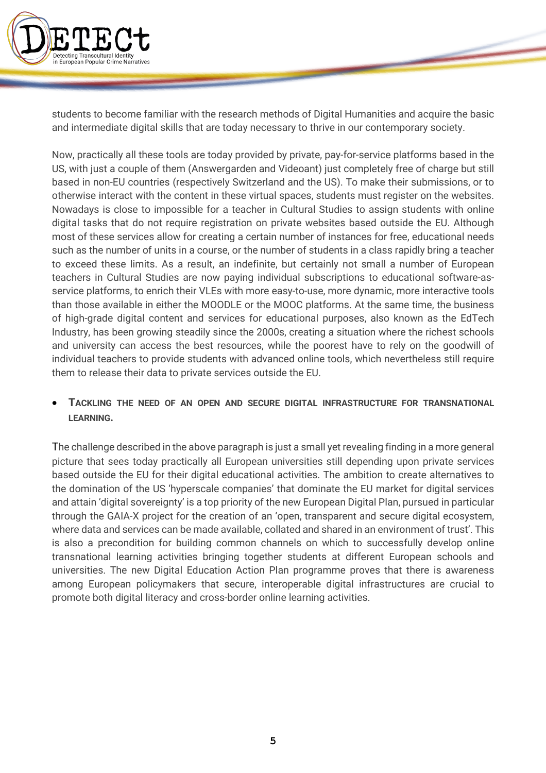

students to become familiar with the research methods of Digital Humanities and acquire the basic and intermediate digital skills that are today necessary to thrive in our contemporary society.

Now, practically all these tools are today provided by private, pay-for-service platforms based in the US, with just a couple of them (Answergarden and Videoant) just completely free of charge but still based in non-EU countries (respectively Switzerland and the US). To make their submissions, or to otherwise interact with the content in these virtual spaces, students must register on the websites. Nowadays is close to impossible for a teacher in Cultural Studies to assign students with online digital tasks that do not require registration on private websites based outside the EU. Although most of these services allow for creating a certain number of instances for free, educational needs such as the number of units in a course, or the number of students in a class rapidly bring a teacher to exceed these limits. As a result, an indefinite, but certainly not small a number of European teachers in Cultural Studies are now paying individual subscriptions to educational software-asservice platforms, to enrich their VLEs with more easy-to-use, more dynamic, more interactive tools than those available in either the MOODLE or the MOOC platforms. At the same time, the business of high-grade digital content and services for educational purposes, also known as the EdTech Industry, has been growing steadily since the 2000s, creating a situation where the richest schools and university can access the best resources, while the poorest have to rely on the goodwill of individual teachers to provide students with advanced online tools, which nevertheless still require them to release their data to private services outside the EU.

### • **TACKLING THE NEED OF AN OPEN AND SECURE DIGITAL INFRASTRUCTURE FOR TRANSNATIONAL LEARNING.**

The challenge described in the above paragraph is just a small yet revealing finding in a more general picture that sees today practically all European universities still depending upon private services based outside the EU for their digital educational activities. The ambition to create alternatives to the domination of the US 'hyperscale companies' that dominate the EU market for digital services and attain 'digital sovereignty' is a top priority of the new European Digital Plan, pursued in particular through the GAIA-X project for the creation of an 'open, transparent and secure digital ecosystem, where data and services can be made available, collated and shared in an environment of trust'. This is also a precondition for building common channels on which to successfully develop online transnational learning activities bringing together students at different European schools and universities. The new Digital Education Action Plan programme proves that there is awareness among European policymakers that secure, interoperable digital infrastructures are crucial to promote both digital literacy and cross-border online learning activities.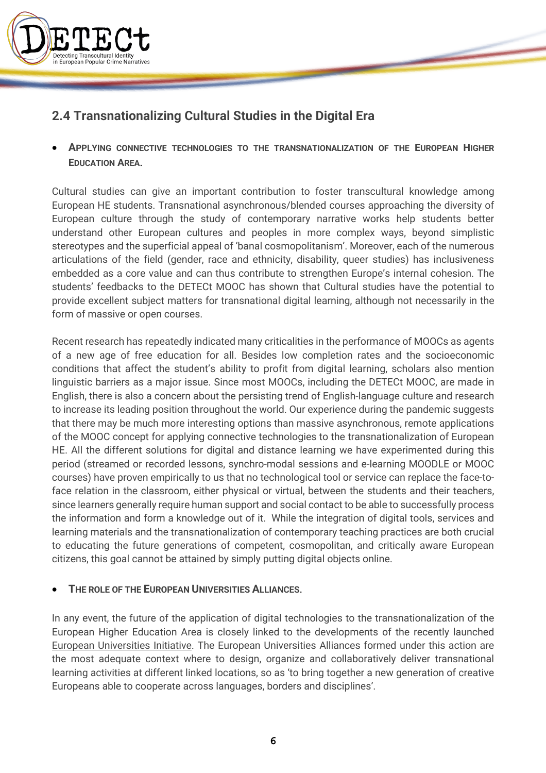

### **2.4 Transnationalizing Cultural Studies in the Digital Era**

• **APPLYING CONNECTIVE TECHNOLOGIES TO THE TRANSNATIONALIZATION OF THE EUROPEAN HIGHER EDUCATION AREA**.

Cultural studies can give an important contribution to foster transcultural knowledge among European HE students. Transnational asynchronous/blended courses approaching the diversity of European culture through the study of contemporary narrative works help students better understand other European cultures and peoples in more complex ways, beyond simplistic stereotypes and the superficial appeal of 'banal cosmopolitanism'. Moreover, each of the numerous articulations of the field (gender, race and ethnicity, disability, queer studies) has inclusiveness embedded as a core value and can thus contribute to strengthen Europe's internal cohesion. The students' feedbacks to the DETECt MOOC has shown that Cultural studies have the potential to provide excellent subject matters for transnational digital learning, although not necessarily in the form of massive or open courses.

Recent research has repeatedly indicated many criticalities in the performance of MOOCs as agents of a new age of free education for all. Besides low completion rates and the socioeconomic conditions that affect the student's ability to profit from digital learning, scholars also mention linguistic barriers as a major issue. Since most MOOCs, including the DETECt MOOC, are made in English, there is also a concern about the persisting trend of English-language culture and research to increase its leading position throughout the world. Our experience during the pandemic suggests that there may be much more interesting options than massive asynchronous, remote applications of the MOOC concept for applying connective technologies to the transnationalization of European HE. All the different solutions for digital and distance learning we have experimented during this period (streamed or recorded lessons, synchro-modal sessions and e-learning MOODLE or MOOC courses) have proven empirically to us that no technological tool or service can replace the face-toface relation in the classroom, either physical or virtual, between the students and their teachers, since learners generally require human support and social contact to be able to successfully process the information and form a knowledge out of it. While the integration of digital tools, services and learning materials and the transnationalization of contemporary teaching practices are both crucial to educating the future generations of competent, cosmopolitan, and critically aware European citizens, this goal cannot be attained by simply putting digital objects online.

#### • **THE ROLE OF THE EUROPEAN UNIVERSITIES ALLIANCES**.

In any event, the future of the application of digital technologies to the transnationalization of the European Higher Education Area is closely linked to the developments of the recently launched European Universities Initiative. The European Universities Alliances formed under this action are the most adequate context where to design, organize and collaboratively deliver transnational learning activities at different linked locations, so as 'to bring together a new generation of creative Europeans able to cooperate across languages, borders and disciplines'.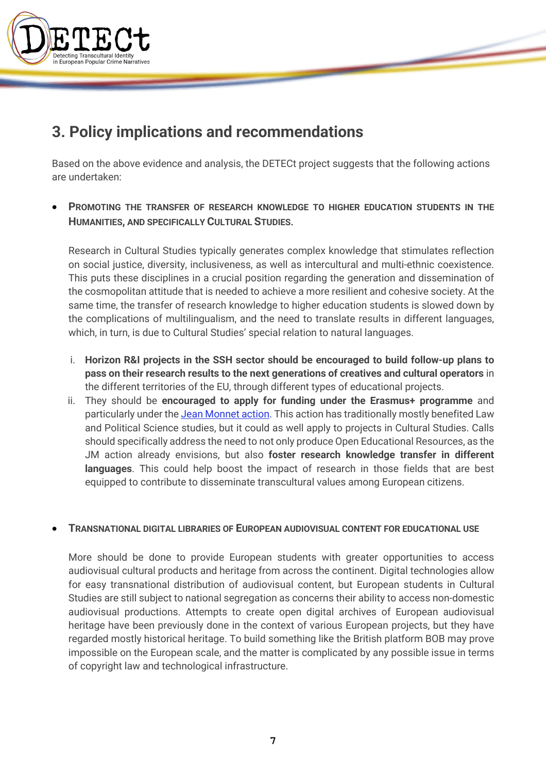

# **3. Policy implications and recommendations**

Based on the above evidence and analysis, the DETECt project suggests that the following actions are undertaken:

**PROMOTING THE TRANSFER OF RESEARCH KNOWLEDGE TO HIGHER EDUCATION STUDENTS IN THE HUMANITIES, AND SPECIFICALLY CULTURAL STUDIES**.

Research in Cultural Studies typically generates complex knowledge that stimulates reflection on social justice, diversity, inclusiveness, as well as intercultural and multi-ethnic coexistence. This puts these disciplines in a crucial position regarding the generation and dissemination of the cosmopolitan attitude that is needed to achieve a more resilient and cohesive society. At the same time, the transfer of research knowledge to higher education students is slowed down by the complications of multilingualism, and the need to translate results in different languages, which, in turn, is due to Cultural Studies' special relation to natural languages.

- i. **Horizon R&I projects in the SSH sector should be encouraged to build follow-up plans to pass on their research results to the next generations of creatives and cultural operators** in the different territories of the EU, through different types of educational projects.
- ii. They should be **encouraged to apply for funding under the Erasmus+ programme** and particularly under the Jean Monnet action. This action has traditionally mostly benefited Law and Political Science studies, but it could as well apply to projects in Cultural Studies. Calls should specifically address the need to not only produce Open Educational Resources, as the JM action already envisions, but also **foster research knowledge transfer in different languages**. This could help boost the impact of research in those fields that are best equipped to contribute to disseminate transcultural values among European citizens.

#### • **TRANSNATIONAL DIGITAL LIBRARIES OF EUROPEAN AUDIOVISUAL CONTENT FOR EDUCATIONAL USE**

More should be done to provide European students with greater opportunities to access audiovisual cultural products and heritage from across the continent. Digital technologies allow for easy transnational distribution of audiovisual content, but European students in Cultural Studies are still subject to national segregation as concerns their ability to access non-domestic audiovisual productions. Attempts to create open digital archives of European audiovisual heritage have been previously done in the context of various European projects, but they have regarded mostly historical heritage. To build something like the British platform BOB may prove impossible on the European scale, and the matter is complicated by any possible issue in terms of copyright law and technological infrastructure.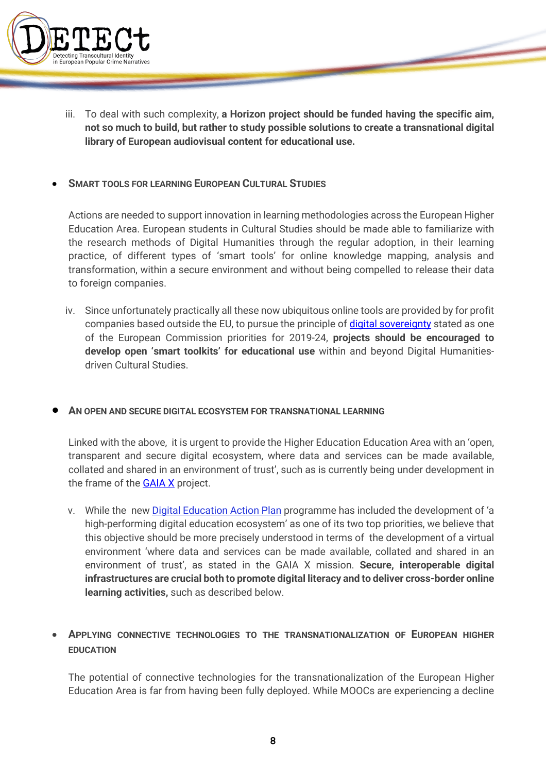

iii. To deal with such complexity, **a Horizon project should be funded having the specific aim, not so much to build, but rather to study possible solutions to create a transnational digital library of European audiovisual content for educational use.**

#### **SMART TOOLS FOR LEARNING EUROPEAN CULTURAL STUDIES**

Actions are needed to support innovation in learning methodologies across the European Higher Education Area. European students in Cultural Studies should be made able to familiarize with the research methods of Digital Humanities through the regular adoption, in their learning practice, of different types of 'smart tools' for online knowledge mapping, analysis and transformation, within a secure environment and without being compelled to release their data to foreign companies.

iv. Since unfortunately practically all these now ubiquitous online tools are provided by for profit companies based outside the EU, to pursue the principle of *digital sovereignty* stated as one of the European Commission priorities for 2019-24, **projects should be encouraged to develop open 'smart toolkits' for educational use** within and beyond Digital Humanitiesdriven Cultural Studies.

#### • **AN OPEN AND SECURE DIGITAL ECOSYSTEM FOR TRANSNATIONAL LEARNING**

Linked with the above, it is urgent to provide the Higher Education Education Area with an 'open, transparent and secure digital ecosystem, where data and services can be made available, collated and shared in an environment of trust', such as is currently being under development in the frame of the **GAIA X** project.

v. While the new Digital Education Action Plan programme has included the development of 'a high-performing digital education ecosystem' as one of its two top priorities, we believe that this objective should be more precisely understood in terms of the development of a virtual environment 'where data and services can be made available, collated and shared in an environment of trust', as stated in the GAIA X mission. **Secure, interoperable digital infrastructures are crucial both to promote digital literacy and to deliver cross-border online learning activities,** such as described below.

### • **APPLYING CONNECTIVE TECHNOLOGIES TO THE TRANSNATIONALIZATION OF EUROPEAN HIGHER EDUCATION**

The potential of connective technologies for the transnationalization of the European Higher Education Area is far from having been fully deployed. While MOOCs are experiencing a decline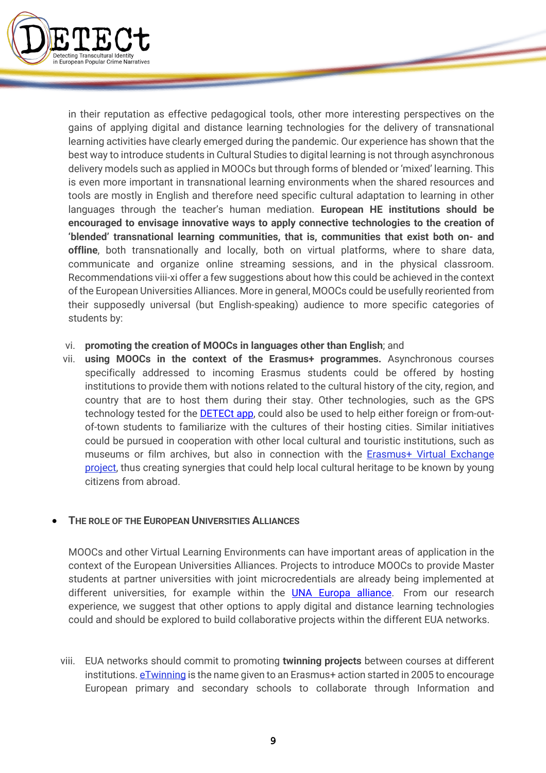

in their reputation as effective pedagogical tools, other more interesting perspectives on the gains of applying digital and distance learning technologies for the delivery of transnational learning activities have clearly emerged during the pandemic. Our experience has shown that the best way to introduce students in Cultural Studies to digital learning is not through asynchronous delivery models such as applied in MOOCs but through forms of blended or 'mixed' learning. This is even more important in transnational learning environments when the shared resources and tools are mostly in English and therefore need specific cultural adaptation to learning in other languages through the teacher's human mediation. **European HE institutions should be encouraged to envisage innovative ways to apply connective technologies to the creation of 'blended' transnational learning communities, that is, communities that exist both on- and offline**, both transnationally and locally, both on virtual platforms, where to share data, communicate and organize online streaming sessions, and in the physical classroom. Recommendations viii-xi offer a few suggestions about how this could be achieved in the context of the European Universities Alliances. More in general, MOOCs could be usefully reoriented from their supposedly universal (but English-speaking) audience to more specific categories of students by:

#### vi. **promoting the creation of MOOCs in languages other than English**; and

vii. **using MOOCs in the context of the Erasmus+ programmes.** Asynchronous courses specifically addressed to incoming Erasmus students could be offered by hosting institutions to provide them with notions related to the cultural history of the city, region, and country that are to host them during their stay. Other technologies, such as the GPS technology tested for the **DETECt app**, could also be used to help either foreign or from-outof-town students to familiarize with the cultures of their hosting cities. Similar initiatives could be pursued in cooperation with other local cultural and touristic institutions, such as museums or film archives, but also in connection with the Erasmus+ Virtual Exchange project, thus creating synergies that could help local cultural heritage to be known by young citizens from abroad.

#### • **THE ROLE OF THE EUROPEAN UNIVERSITIES ALLIANCES**

MOOCs and other Virtual Learning Environments can have important areas of application in the context of the European Universities Alliances. Projects to introduce MOOCs to provide Master students at partner universities with joint microcredentials are already being implemented at different universities, for example within the UNA Europa alliance. From our research experience, we suggest that other options to apply digital and distance learning technologies could and should be explored to build collaborative projects within the different EUA networks.

viii. EUA networks should commit to promoting **twinning projects** between courses at different institutions. eTwinning is the name given to an Erasmus+ action started in 2005 to encourage European primary and secondary schools to collaborate through Information and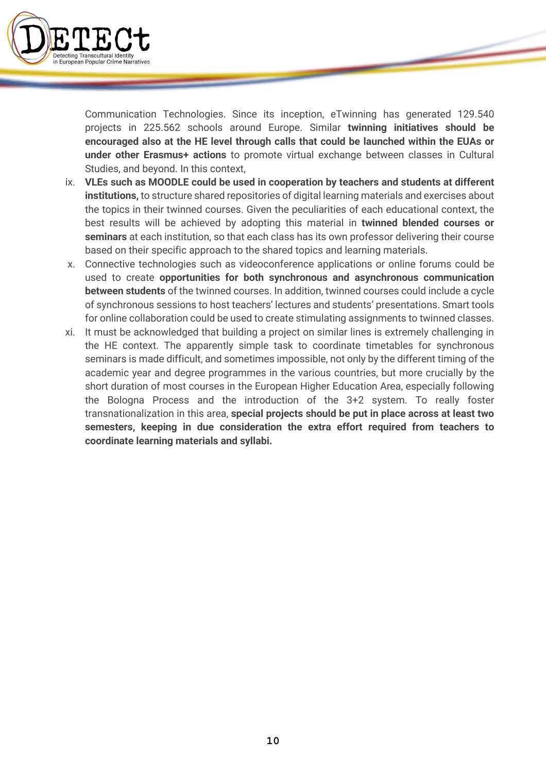

Communication Technologies. Since its inception, eTwinning has generated 129.540 projects in 225.562 schools around Europe. Similar **twinning initiatives should be encouraged also at the HE level through calls that could be launched within the EUAs or under other Erasmus+ actions** to promote virtual exchange between classes in Cultural Studies, and beyond. In this context,

- ix. **VLEs such as MOODLE could be used in cooperation by teachers and students at different institutions,** to structure shared repositories of digital learning materials and exercises about the topics in their twinned courses. Given the peculiarities of each educational context, the best results will be achieved by adopting this material in **twinned blended courses or seminars** at each institution, so that each class has its own professor delivering their course based on their specific approach to the shared topics and learning materials.
- x. Connective technologies such as videoconference applications or online forums could be used to create **opportunities for both synchronous and asynchronous communication between students** of the twinned courses. In addition, twinned courses could include a cycle of synchronous sessions to host teachers' lectures and students' presentations. Smart tools for online collaboration could be used to create stimulating assignments to twinned classes.
- xi. It must be acknowledged that building a project on similar lines is extremely challenging in the HE context. The apparently simple task to coordinate timetables for synchronous seminars is made difficult, and sometimes impossible, not only by the different timing of the academic year and degree programmes in the various countries, but more crucially by the short duration of most courses in the European Higher Education Area, especially following the Bologna Process and the introduction of the 3+2 system. To really foster transnationalization in this area, **special projects should be put in place across at least two semesters, keeping in due consideration the extra effort required from teachers to coordinate learning materials and syllabi.**